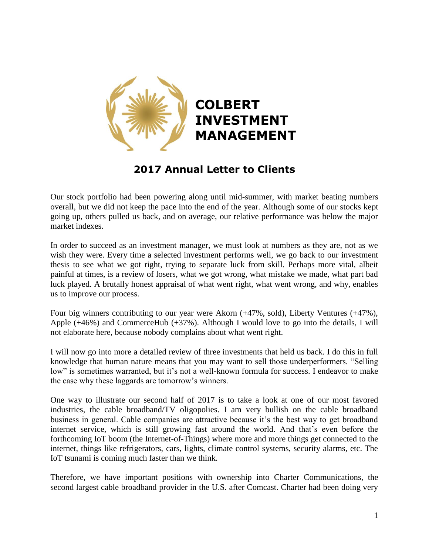

## **2017 Annual Letter to Clients**

Our stock portfolio had been powering along until mid-summer, with market beating numbers overall, but we did not keep the pace into the end of the year. Although some of our stocks kept going up, others pulled us back, and on average, our relative performance was below the major market indexes.

In order to succeed as an investment manager, we must look at numbers as they are, not as we wish they were. Every time a selected investment performs well, we go back to our investment thesis to see what we got right, trying to separate luck from skill. Perhaps more vital, albeit painful at times, is a review of losers, what we got wrong, what mistake we made, what part bad luck played. A brutally honest appraisal of what went right, what went wrong, and why, enables us to improve our process.

Four big winners contributing to our year were Akorn (+47%, sold), Liberty Ventures (+47%), Apple (+46%) and CommerceHub (+37%). Although I would love to go into the details, I will not elaborate here, because nobody complains about what went right.

I will now go into more a detailed review of three investments that held us back. I do this in full knowledge that human nature means that you may want to sell those underperformers. "Selling low" is sometimes warranted, but it's not a well-known formula for success. I endeavor to make the case why these laggards are tomorrow's winners.

One way to illustrate our second half of 2017 is to take a look at one of our most favored industries, the cable broadband/TV oligopolies. I am very bullish on the cable broadband business in general. Cable companies are attractive because it's the best way to get broadband internet service, which is still growing fast around the world. And that's even before the forthcoming IoT boom (the Internet-of-Things) where more and more things get connected to the internet, things like refrigerators, cars, lights, climate control systems, security alarms, etc. The IoT tsunami is coming much faster than we think.

Therefore, we have important positions with ownership into Charter Communications, the second largest cable broadband provider in the U.S. after Comcast. Charter had been doing very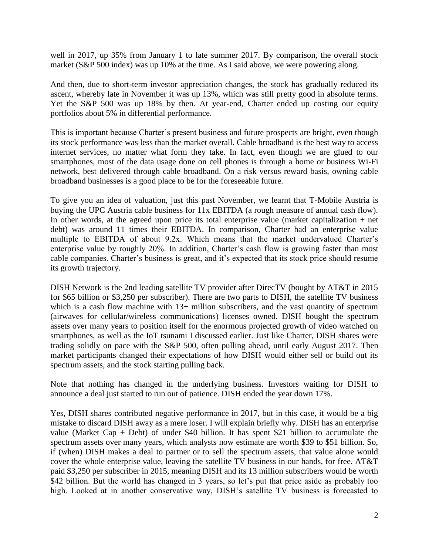well in 2017, up 35% from January 1 to late summer 2017. By comparison, the overall stock market (S&P 500 index) was up 10% at the time. As I said above, we were powering along.

And then, due to short-term investor appreciation changes, the stock has gradually reduced its ascent, whereby late in November it was up 13%, which was still pretty good in absolute terms. Yet the S&P 500 was up 18% by then. At year-end, Charter ended up costing our equity portfolios about 5% in differential performance.

This is important because Charter's present business and future prospects are bright, even though its stock performance was less than the market overall. Cable broadband is the best way to access internet services, no matter what form they take. In fact, even though we are glued to our smartphones, most of the data usage done on cell phones is through a home or business Wi-Fi network, best delivered through cable broadband. On a risk versus reward basis, owning cable broadband businesses is a good place to be for the foreseeable future.

To give you an idea of valuation, just this past November, we learnt that T-Mobile Austria is buying the UPC Austria cable business for 11x EBITDA (a rough measure of annual cash flow). In other words, at the agreed upon price its total enterprise value (market capitalization  $+$  net debt) was around 11 times their EBITDA. In comparison, Charter had an enterprise value multiple to EBITDA of about 9.2x. Which means that the market undervalued Charter's enterprise value by roughly 20%. In addition, Charter's cash flow is growing faster than most cable companies. Charter's business is great, and it's expected that its stock price should resume its growth trajectory.

DISH Network is the 2nd leading satellite TV provider after DirecTV (bought by AT&T in 2015 for \$65 billion or \$3,250 per subscriber). There are two parts to DISH, the satellite TV business which is a cash flow machine with 13+ million subscribers, and the vast quantity of spectrum (airwaves for cellular/wireless communications) licenses owned. DISH bought the spectrum assets over many years to position itself for the enormous projected growth of video watched on smartphones, as well as the IoT tsunami I discussed earlier. Just like Charter, DISH shares were trading solidly on pace with the S&P 500, often pulling ahead, until early August 2017. Then market participants changed their expectations of how DISH would either sell or build out its spectrum assets, and the stock starting pulling back.

Note that nothing has changed in the underlying business. Investors waiting for DISH to announce a deal just started to run out of patience. DISH ended the year down 17%.

Yes, DISH shares contributed negative performance in 2017, but in this case, it would be a big mistake to discard DISH away as a mere loser. I will explain briefly why. DISH has an enterprise value (Market Cap + Debt) of under \$40 billion. It has spent \$21 billion to accumulate the spectrum assets over many years, which analysts now estimate are worth \$39 to \$51 billion. So, if (when) DISH makes a deal to partner or to sell the spectrum assets, that value alone would cover the whole enterprise value, leaving the satellite TV business in our hands, for free. AT&T paid \$3,250 per subscriber in 2015, meaning DISH and its 13 million subscribers would be worth \$42 billion. But the world has changed in 3 years, so let's put that price aside as probably too high. Looked at in another conservative way, DISH's satellite TV business is forecasted to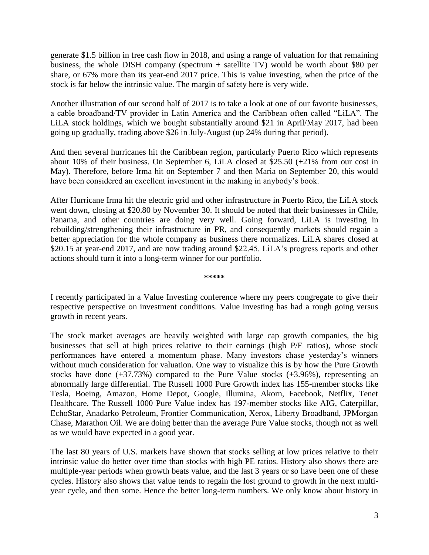generate \$1.5 billion in free cash flow in 2018, and using a range of valuation for that remaining business, the whole DISH company (spectrum + satellite TV) would be worth about \$80 per share, or 67% more than its year-end 2017 price. This is value investing, when the price of the stock is far below the intrinsic value. The margin of safety here is very wide.

Another illustration of our second half of 2017 is to take a look at one of our favorite businesses, a cable broadband/TV provider in Latin America and the Caribbean often called "LiLA". The LiLA stock holdings, which we bought substantially around \$21 in April/May 2017, had been going up gradually, trading above \$26 in July-August (up 24% during that period).

And then several hurricanes hit the Caribbean region, particularly Puerto Rico which represents about 10% of their business. On September 6, LiLA closed at \$25.50 (+21% from our cost in May). Therefore, before Irma hit on September 7 and then Maria on September 20, this would have been considered an excellent investment in the making in anybody's book.

After Hurricane Irma hit the electric grid and other infrastructure in Puerto Rico, the LiLA stock went down, closing at \$20.80 by November 30. It should be noted that their businesses in Chile, Panama, and other countries are doing very well. Going forward, LiLA is investing in rebuilding/strengthening their infrastructure in PR, and consequently markets should regain a better appreciation for the whole company as business there normalizes. LiLA shares closed at \$20.15 at year-end 2017, and are now trading around \$22.45. LiLA's progress reports and other actions should turn it into a long-term winner for our portfolio.

**\*\*\*\*\***

I recently participated in a Value Investing conference where my peers congregate to give their respective perspective on investment conditions. Value investing has had a rough going versus growth in recent years.

The stock market averages are heavily weighted with large cap growth companies, the big businesses that sell at high prices relative to their earnings (high P/E ratios), whose stock performances have entered a momentum phase. Many investors chase yesterday's winners without much consideration for valuation. One way to visualize this is by how the Pure Growth stocks have done  $(+37.73%)$  compared to the Pure Value stocks  $(+3.96%)$ , representing an abnormally large differential. The Russell 1000 Pure Growth index has 155-member stocks like Tesla, Boeing, Amazon, Home Depot, Google, Illumina, Akorn, Facebook, Netflix, Tenet Healthcare. The Russell 1000 Pure Value index has 197-member stocks like AIG, Caterpillar, EchoStar, Anadarko Petroleum, Frontier Communication, Xerox, Liberty Broadband, JPMorgan Chase, Marathon Oil. We are doing better than the average Pure Value stocks, though not as well as we would have expected in a good year.

The last 80 years of U.S. markets have shown that stocks selling at low prices relative to their intrinsic value do better over time than stocks with high PE ratios. History also shows there are multiple-year periods when growth beats value, and the last 3 years or so have been one of these cycles. History also shows that value tends to regain the lost ground to growth in the next multiyear cycle, and then some. Hence the better long-term numbers. We only know about history in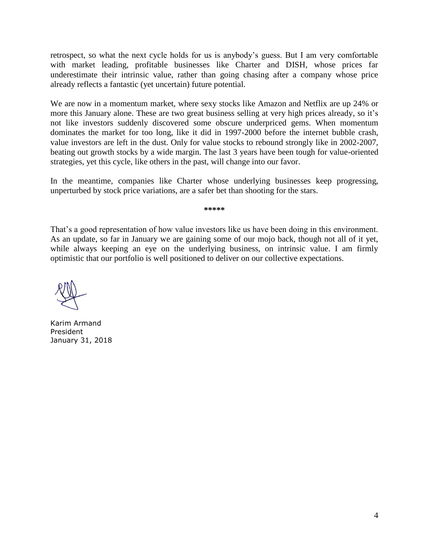retrospect, so what the next cycle holds for us is anybody's guess. But I am very comfortable with market leading, profitable businesses like Charter and DISH, whose prices far underestimate their intrinsic value, rather than going chasing after a company whose price already reflects a fantastic (yet uncertain) future potential.

We are now in a momentum market, where sexy stocks like Amazon and Netflix are up 24% or more this January alone. These are two great business selling at very high prices already, so it's not like investors suddenly discovered some obscure underpriced gems. When momentum dominates the market for too long, like it did in 1997-2000 before the internet bubble crash, value investors are left in the dust. Only for value stocks to rebound strongly like in 2002-2007, beating out growth stocks by a wide margin. The last 3 years have been tough for value-oriented strategies, yet this cycle, like others in the past, will change into our favor.

In the meantime, companies like Charter whose underlying businesses keep progressing, unperturbed by stock price variations, are a safer bet than shooting for the stars.

**\*\*\*\*\***

That's a good representation of how value investors like us have been doing in this environment. As an update, so far in January we are gaining some of our mojo back, though not all of it yet, while always keeping an eye on the underlying business, on intrinsic value. I am firmly optimistic that our portfolio is well positioned to deliver on our collective expectations.

Karim Armand President January 31, 2018